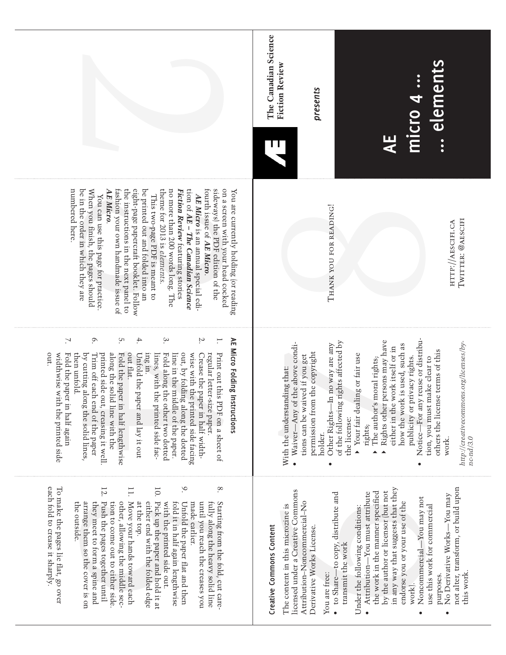|                                                                                                                                                                                                                                                                                                                                                                                                                                                                                                                                                                                                                                                                                                                     | The Canadian Science<br>elements<br><b>Fiction Review</b><br>presents<br>micro 4<br>B<br>닞                                                                                                                                                                                                                                                                                                                                                                                                                                                                                                                                                                               |
|---------------------------------------------------------------------------------------------------------------------------------------------------------------------------------------------------------------------------------------------------------------------------------------------------------------------------------------------------------------------------------------------------------------------------------------------------------------------------------------------------------------------------------------------------------------------------------------------------------------------------------------------------------------------------------------------------------------------|--------------------------------------------------------------------------------------------------------------------------------------------------------------------------------------------------------------------------------------------------------------------------------------------------------------------------------------------------------------------------------------------------------------------------------------------------------------------------------------------------------------------------------------------------------------------------------------------------------------------------------------------------------------------------|
| AE Micro.<br>the instructions in the next panel to<br>eight-page papercraft booklet. Follow<br>theme for 2013 is elements.<br>no more than 200 words long. The<br>fourth issue of AE Micro.<br>sideways) the PDF edition of the<br>on a screen with your head cocked<br>numbered here.<br>fashion your own handmade issue of<br>be printed out and folded into an<br>tion of AE – The Canadian Science<br>be in the order in which they are<br>When you finish, the pages should<br>Fiction Review teaturing stories<br>You are currently holding (or reading<br>AE Micro is an annual special edi-<br>This two-page PDF is meant to<br>You can use this page for practice                                          | THANK YOU FOR READING!<br>TWITTER: @AESCIFI<br>HTTP://AESCIFI.CA                                                                                                                                                                                                                                                                                                                                                                                                                                                                                                                                                                                                         |
| $\circ$<br>S.<br>4.<br>9.<br>Σ.<br>AE Micro Folding I<br>7.<br>;⊤<br>regular letter-size paper.<br>out.<br>widthwise with the printed side<br>Fold the paper in half again<br>along the solid line with the<br>Print out this PDF on a sheet of<br>then untold.<br>printed side out, creasing it well<br>Fold the paper in half lengthwise<br>Unfold the paper and lay it out<br>Fold along the other two dotted<br>wise with the printed side facing<br>Crease the paper in half width-<br>by cutting along the solid lines,<br>out flat.<br>ing in.<br>lines, with the printed side fac-<br>line in the middle of the paper.<br>out, by folding along the dotted<br>Trim off each end of the paper<br>nstructions | Notice—For any reuse or distribu-<br>Rights other persons may have<br>of the following rights affected by<br>http://creativecommons.org/licenses/by-<br>no way are any<br>Waiver-Any of the above condi-<br>how the work is used, such as<br>either in the work itself or in<br>others the license terms of this<br>the copyright<br>Your fair dealing or fair use<br>tions can be waived if you get<br>publicity or privacy rights.<br>tion, you must make clear to<br>The author's moral rights;<br>With the understanding that:<br>Other Rights-In<br>permission from<br>the license:<br>rights;<br>holder.<br>$nc$ - $nd/3.0$<br>work.<br>▲<br>$\blacktriangle$<br>▲ |
| each fold to crease it sharply.<br>9.<br>$\infty$<br>10.<br>To make the pages lie flat, go over<br>12.<br>I1.<br>other, allowing the middle sec-<br>Move your hands toward each<br>arrange them so the cover is on<br>they meet to form a spine and<br>Push the pages together until<br>either end with the folded edge<br>Pick up the paper and hold it at<br>fold it in half again lengthwise<br>until you reach the creases you<br>tion to come out to either side.<br>at the top.<br>with the printed side out.<br>Unfold the paper flat and then<br>made earlier.<br>fully along the heavy solid line<br>Starting from the fold, cut care-<br>the outside.                                                     | in any way that suggests that they<br>not alter, transform, or build upon<br>licensed under a Creative Commons<br>by the author or licensor (but not<br>the work in the manner specified<br>to Share-to copy, distribute and<br>Attribution-You must attribute<br>No Derivative Works-You may<br>Noncommercial-You may not<br>Attribution-Noncommercial-No<br>endorse you or your use of the<br>use this work for commercial<br>The content in this microzine is<br>Under the following conditions:<br>Creative Commons Content<br>Derivative Works License.<br>transmit the work<br>this work.<br>You are free:<br>purposes.<br>work).                                  |